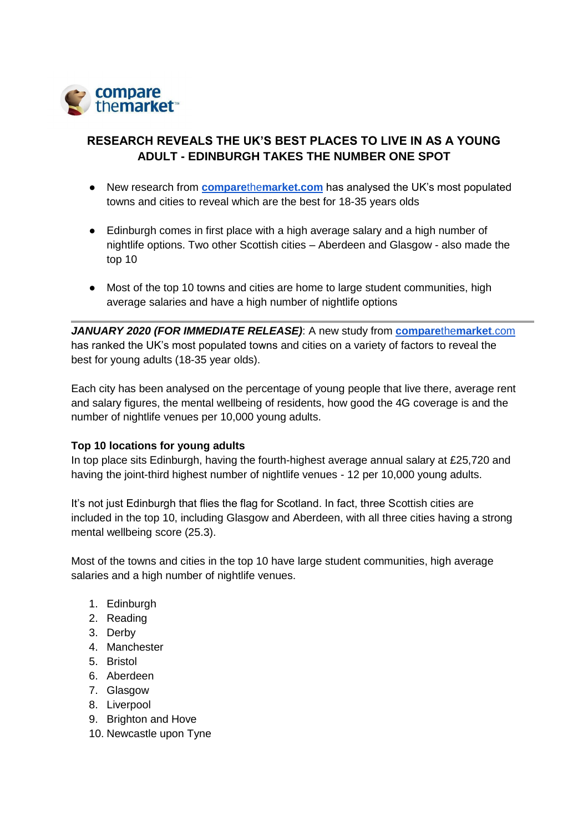

# **RESEARCH REVEALS THE UK'S BEST PLACES TO LIVE IN AS A YOUNG ADULT - EDINBURGH TAKES THE NUMBER ONE SPOT**

- New research from **[compare](https://www.comparethemarket.com/home-insurance/)**[the](https://www.comparethemarket.com/home-insurance/)**[market.com](https://www.comparethemarket.com/home-insurance/)** has analysed the UK's most populated towns and cities to reveal which are the best for 18-35 years olds
- Edinburgh comes in first place with a high average salary and a high number of nightlife options. Two other Scottish cities – Aberdeen and Glasgow - also made the top 10
- Most of the top 10 towns and cities are home to large student communities, high average salaries and have a high number of nightlife options

*JANUARY 2020 (FOR IMMEDIATE RELEASE)*: A new study from **[compare](https://www.comparethemarket.com/home-insurance/)**[the](https://www.comparethemarket.com/home-insurance/)**[market](https://www.comparethemarket.com/home-insurance/)**[.com](https://www.comparethemarket.com/home-insurance/) has ranked the UK's most populated towns and cities on a variety of factors to reveal the best for young adults (18-35 year olds).

Each city has been analysed on the percentage of young people that live there, average rent and salary figures, the mental wellbeing of residents, how good the 4G coverage is and the number of nightlife venues per 10,000 young adults.

# **Top 10 locations for young adults**

In top place sits Edinburgh, having the fourth-highest average annual salary at £25,720 and having the joint-third highest number of nightlife venues - 12 per 10,000 young adults.

It's not just Edinburgh that flies the flag for Scotland. In fact, three Scottish cities are included in the top 10, including Glasgow and Aberdeen, with all three cities having a strong mental wellbeing score (25.3).

Most of the towns and cities in the top 10 have large student communities, high average salaries and a high number of nightlife venues.

- 1. Edinburgh
- 2. Reading
- 3. Derby
- 4. Manchester
- 5. Bristol
- 6. Aberdeen
- 7. Glasgow
- 8. Liverpool
- 9. Brighton and Hove
- 10. Newcastle upon Tyne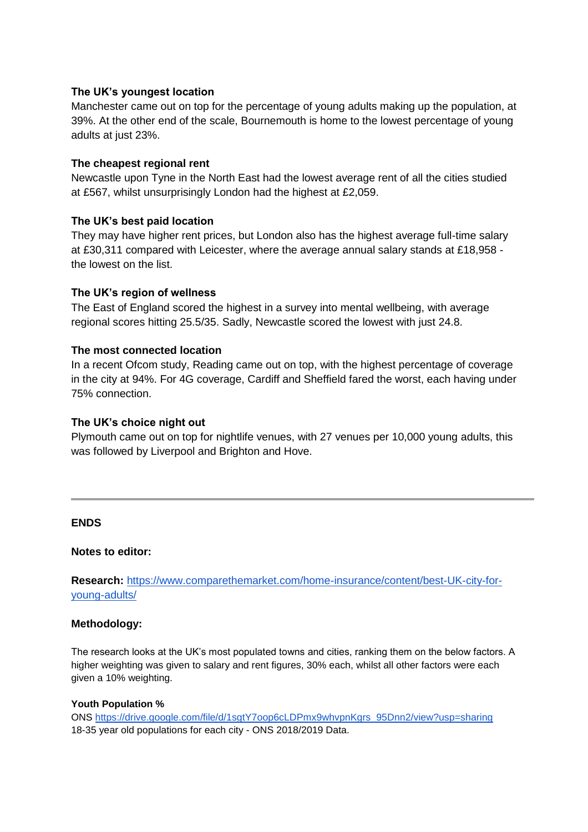# **The UK's youngest location**

Manchester came out on top for the percentage of young adults making up the population, at 39%. At the other end of the scale, Bournemouth is home to the lowest percentage of young adults at just 23%.

# **The cheapest regional rent**

Newcastle upon Tyne in the North East had the lowest average rent of all the cities studied at £567, whilst unsurprisingly London had the highest at £2,059.

# **The UK's best paid location**

They may have higher rent prices, but London also has the highest average full-time salary at £30,311 compared with Leicester, where the average annual salary stands at £18,958 the lowest on the list.

# **The UK's region of wellness**

The East of England scored the highest in a survey into mental wellbeing, with average regional scores hitting 25.5/35. Sadly, Newcastle scored the lowest with just 24.8.

# **The most connected location**

In a recent Ofcom study, Reading came out on top, with the highest percentage of coverage in the city at 94%. For 4G coverage, Cardiff and Sheffield fared the worst, each having under 75% connection.

### **The UK's choice night out**

Plymouth came out on top for nightlife venues, with 27 venues per 10,000 young adults, this was followed by Liverpool and Brighton and Hove.

#### **ENDS**

#### **Notes to editor:**

**Research:** [https://www.comparethemarket.com/home-insurance/content/best-UK-city-for](https://www.comparethemarket.com/home-insurance/content/best-UK-city-for-young-adults/)[young-adults/](https://www.comparethemarket.com/home-insurance/content/best-UK-city-for-young-adults/)

#### **Methodology:**

The research looks at the UK's most populated towns and cities, ranking them on the below factors. A higher weighting was given to salary and rent figures, 30% each, whilst all other factors were each given a 10% weighting.

#### **Youth Population %**

ONS [https://drive.google.com/file/d/1sgtY7oop6cLDPmx9whvpnKgrs\\_95Dnn2/view?usp=sharing](https://drive.google.com/file/d/1sgtY7oop6cLDPmx9whvpnKgrs_95Dnn2/view?usp=sharing)  18-35 year old populations for each city - ONS 2018/2019 Data.